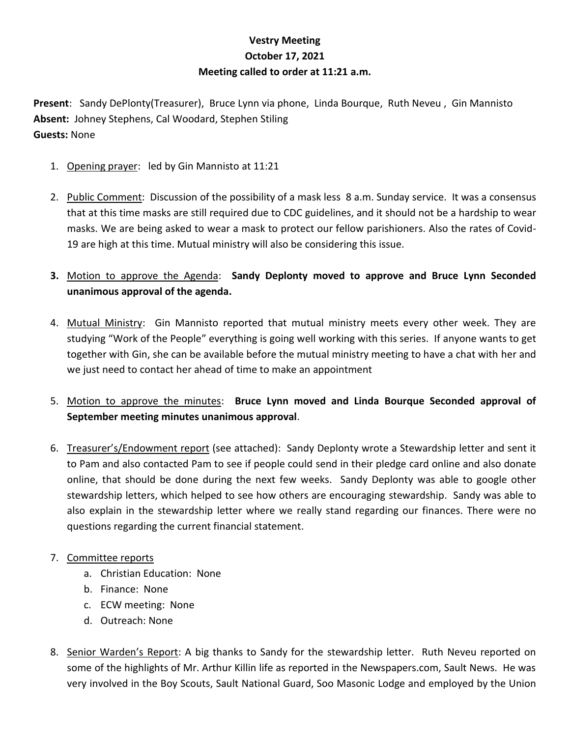## **Vestry Meeting October 17, 2021 Meeting called to order at 11:21 a.m.**

**Present**: Sandy DePlonty(Treasurer), Bruce Lynn via phone, Linda Bourque, Ruth Neveu , Gin Mannisto **Absent:** Johney Stephens, Cal Woodard, Stephen Stiling **Guests:** None

- 1. Opening prayer: led by Gin Mannisto at 11:21
- 2. Public Comment: Discussion of the possibility of a mask less 8 a.m. Sunday service. It was a consensus that at this time masks are still required due to CDC guidelines, and it should not be a hardship to wear masks. We are being asked to wear a mask to protect our fellow parishioners. Also the rates of Covid-19 are high at this time. Mutual ministry will also be considering this issue.
- **3.** Motion to approve the Agenda: **Sandy Deplonty moved to approve and Bruce Lynn Seconded unanimous approval of the agenda.**
- 4. Mutual Ministry: Gin Mannisto reported that mutual ministry meets every other week. They are studying "Work of the People" everything is going well working with this series. If anyone wants to get together with Gin, she can be available before the mutual ministry meeting to have a chat with her and we just need to contact her ahead of time to make an appointment
- 5. Motion to approve the minutes: **Bruce Lynn moved and Linda Bourque Seconded approval of September meeting minutes unanimous approval**.
- 6. Treasurer's/Endowment report (see attached): Sandy Deplonty wrote a Stewardship letter and sent it to Pam and also contacted Pam to see if people could send in their pledge card online and also donate online, that should be done during the next few weeks. Sandy Deplonty was able to google other stewardship letters, which helped to see how others are encouraging stewardship. Sandy was able to also explain in the stewardship letter where we really stand regarding our finances. There were no questions regarding the current financial statement.
- 7. Committee reports
	- a. Christian Education: None
	- b. Finance: None
	- c. ECW meeting: None
	- d. Outreach: None
- 8. Senior Warden's Report: A big thanks to Sandy for the stewardship letter. Ruth Neveu reported on some of the highlights of Mr. Arthur Killin life as reported in the Newspapers.com, Sault News. He was very involved in the Boy Scouts, Sault National Guard, Soo Masonic Lodge and employed by the Union